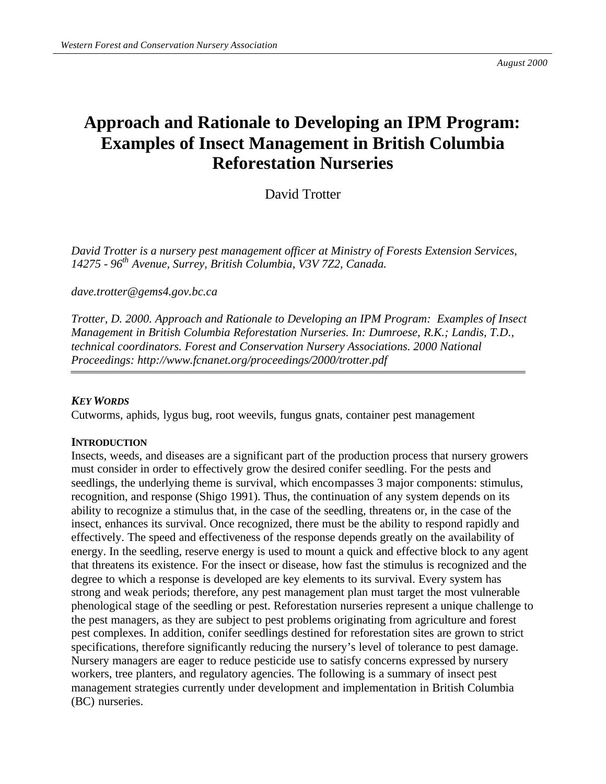# **Approach and Rationale to Developing an IPM Program: Examples of Insect Management in British Columbia Reforestation Nurseries**

David Trotter

*David Trotter is a nursery pest management officer at Ministry of Forests Extension Services, 14275 - 96th Avenue, Surrey, British Columbia, V3V 7Z2, Canada.*

*dave.trotter@gems4.gov.bc.ca*

*Trotter, D. 2000. Approach and Rationale to Developing an IPM Program: Examples of Insect Management in British Columbia Reforestation Nurseries. In: Dumroese, R.K.; Landis, T.D., technical coordinators. Forest and Conservation Nursery Associations. 2000 National Proceedings: http://www.fcnanet.org/proceedings/2000/trotter.pdf*

#### *KEY WORDS*

Cutworms, aphids, lygus bug, root weevils, fungus gnats, container pest management

#### **INTRODUCTION**

Insects, weeds, and diseases are a significant part of the production process that nursery growers must consider in order to effectively grow the desired conifer seedling. For the pests and seedlings, the underlying theme is survival, which encompasses 3 major components: stimulus, recognition, and response (Shigo 1991). Thus, the continuation of any system depends on its ability to recognize a stimulus that, in the case of the seedling, threatens or, in the case of the insect, enhances its survival. Once recognized, there must be the ability to respond rapidly and effectively. The speed and effectiveness of the response depends greatly on the availability of energy. In the seedling, reserve energy is used to mount a quick and effective block to any agent that threatens its existence. For the insect or disease, how fast the stimulus is recognized and the degree to which a response is developed are key elements to its survival. Every system has strong and weak periods; therefore, any pest management plan must target the most vulnerable phenological stage of the seedling or pest. Reforestation nurseries represent a unique challenge to the pest managers, as they are subject to pest problems originating from agriculture and forest pest complexes. In addition, conifer seedlings destined for reforestation sites are grown to strict specifications, therefore significantly reducing the nursery's level of tolerance to pest damage. Nursery managers are eager to reduce pesticide use to satisfy concerns expressed by nursery workers, tree planters, and regulatory agencies. The following is a summary of insect pest management strategies currently under development and implementation in British Columbia (BC) nurseries.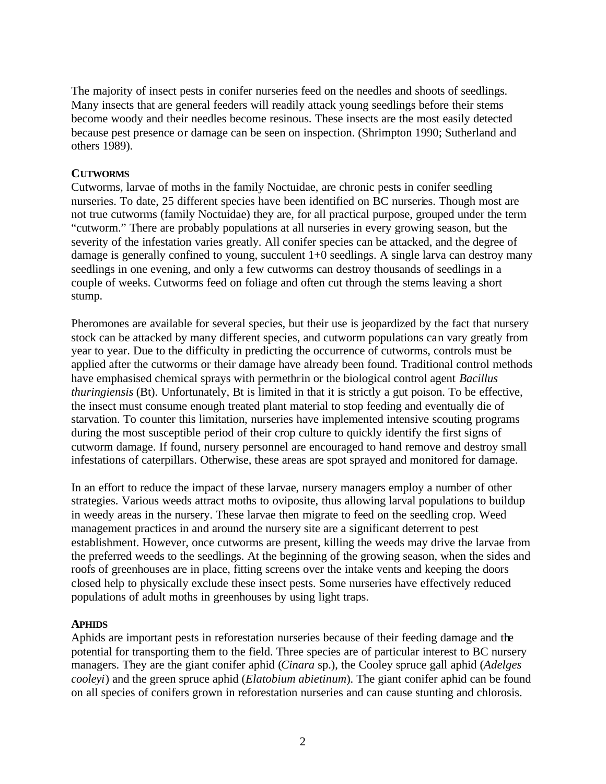The majority of insect pests in conifer nurseries feed on the needles and shoots of seedlings. Many insects that are general feeders will readily attack young seedlings before their stems become woody and their needles become resinous. These insects are the most easily detected because pest presence or damage can be seen on inspection. (Shrimpton 1990; Sutherland and others 1989).

# **CUTWORMS**

Cutworms, larvae of moths in the family Noctuidae, are chronic pests in conifer seedling nurseries. To date, 25 different species have been identified on BC nurseries. Though most are not true cutworms (family Noctuidae) they are, for all practical purpose, grouped under the term "cutworm." There are probably populations at all nurseries in every growing season, but the severity of the infestation varies greatly. All conifer species can be attacked, and the degree of damage is generally confined to young, succulent 1+0 seedlings. A single larva can destroy many seedlings in one evening, and only a few cutworms can destroy thousands of seedlings in a couple of weeks. Cutworms feed on foliage and often cut through the stems leaving a short stump.

Pheromones are available for several species, but their use is jeopardized by the fact that nursery stock can be attacked by many different species, and cutworm populations can vary greatly from year to year. Due to the difficulty in predicting the occurrence of cutworms, controls must be applied after the cutworms or their damage have already been found. Traditional control methods have emphasised chemical sprays with permethrin or the biological control agent *Bacillus thuringiensis* (Bt). Unfortunately, Bt is limited in that it is strictly a gut poison. To be effective, the insect must consume enough treated plant material to stop feeding and eventually die of starvation. To counter this limitation, nurseries have implemented intensive scouting programs during the most susceptible period of their crop culture to quickly identify the first signs of cutworm damage. If found, nursery personnel are encouraged to hand remove and destroy small infestations of caterpillars. Otherwise, these areas are spot sprayed and monitored for damage.

In an effort to reduce the impact of these larvae, nursery managers employ a number of other strategies. Various weeds attract moths to oviposite, thus allowing larval populations to buildup in weedy areas in the nursery. These larvae then migrate to feed on the seedling crop. Weed management practices in and around the nursery site are a significant deterrent to pest establishment. However, once cutworms are present, killing the weeds may drive the larvae from the preferred weeds to the seedlings. At the beginning of the growing season, when the sides and roofs of greenhouses are in place, fitting screens over the intake vents and keeping the doors closed help to physically exclude these insect pests. Some nurseries have effectively reduced populations of adult moths in greenhouses by using light traps.

#### **APHIDS**

Aphids are important pests in reforestation nurseries because of their feeding damage and the potential for transporting them to the field. Three species are of particular interest to BC nursery managers. They are the giant conifer aphid (*Cinara* sp.), the Cooley spruce gall aphid (*Adelges cooleyi*) and the green spruce aphid (*Elatobium abietinum*). The giant conifer aphid can be found on all species of conifers grown in reforestation nurseries and can cause stunting and chlorosis.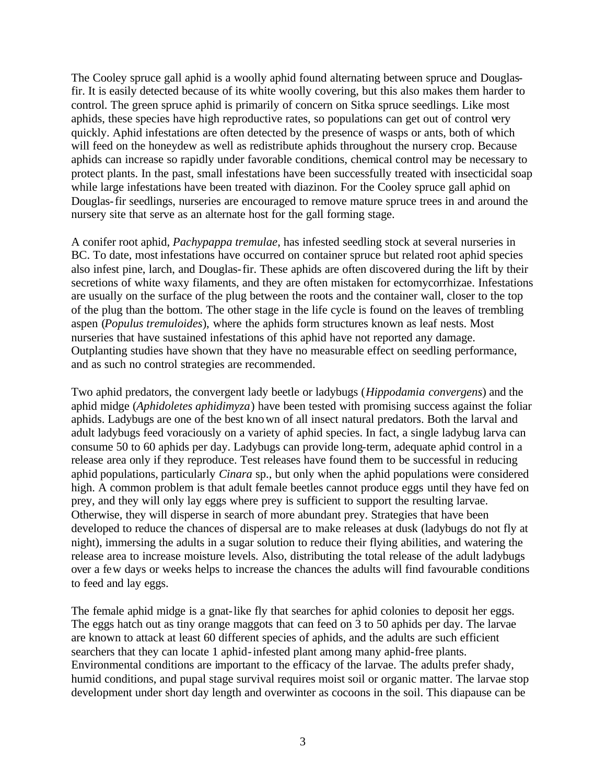The Cooley spruce gall aphid is a woolly aphid found alternating between spruce and Douglasfir. It is easily detected because of its white woolly covering, but this also makes them harder to control. The green spruce aphid is primarily of concern on Sitka spruce seedlings. Like most aphids, these species have high reproductive rates, so populations can get out of control very quickly. Aphid infestations are often detected by the presence of wasps or ants, both of which will feed on the honeydew as well as redistribute aphids throughout the nursery crop. Because aphids can increase so rapidly under favorable conditions, chemical control may be necessary to protect plants. In the past, small infestations have been successfully treated with insecticidal soap while large infestations have been treated with diazinon. For the Cooley spruce gall aphid on Douglas-fir seedlings, nurseries are encouraged to remove mature spruce trees in and around the nursery site that serve as an alternate host for the gall forming stage.

A conifer root aphid, *Pachypappa tremulae*, has infested seedling stock at several nurseries in BC. To date, most infestations have occurred on container spruce but related root aphid species also infest pine, larch, and Douglas-fir. These aphids are often discovered during the lift by their secretions of white waxy filaments, and they are often mistaken for ectomycorrhizae. Infestations are usually on the surface of the plug between the roots and the container wall, closer to the top of the plug than the bottom. The other stage in the life cycle is found on the leaves of trembling aspen (*Populus tremuloides*), where the aphids form structures known as leaf nests. Most nurseries that have sustained infestations of this aphid have not reported any damage. Outplanting studies have shown that they have no measurable effect on seedling performance, and as such no control strategies are recommended.

Two aphid predators, the convergent lady beetle or ladybugs (*Hippodamia convergens*) and the aphid midge (*Aphidoletes aphidimyza*) have been tested with promising success against the foliar aphids. Ladybugs are one of the best known of all insect natural predators. Both the larval and adult ladybugs feed voraciously on a variety of aphid species. In fact, a single ladybug larva can consume 50 to 60 aphids per day. Ladybugs can provide long-term, adequate aphid control in a release area only if they reproduce. Test releases have found them to be successful in reducing aphid populations, particularly *Cinara* sp., but only when the aphid populations were considered high. A common problem is that adult female beetles cannot produce eggs until they have fed on prey, and they will only lay eggs where prey is sufficient to support the resulting larvae. Otherwise, they will disperse in search of more abundant prey. Strategies that have been developed to reduce the chances of dispersal are to make releases at dusk (ladybugs do not fly at night), immersing the adults in a sugar solution to reduce their flying abilities, and watering the release area to increase moisture levels. Also, distributing the total release of the adult ladybugs over a few days or weeks helps to increase the chances the adults will find favourable conditions to feed and lay eggs.

The female aphid midge is a gnat-like fly that searches for aphid colonies to deposit her eggs. The eggs hatch out as tiny orange maggots that can feed on 3 to 50 aphids per day. The larvae are known to attack at least 60 different species of aphids, and the adults are such efficient searchers that they can locate 1 aphid-infested plant among many aphid-free plants. Environmental conditions are important to the efficacy of the larvae. The adults prefer shady, humid conditions, and pupal stage survival requires moist soil or organic matter. The larvae stop development under short day length and overwinter as cocoons in the soil. This diapause can be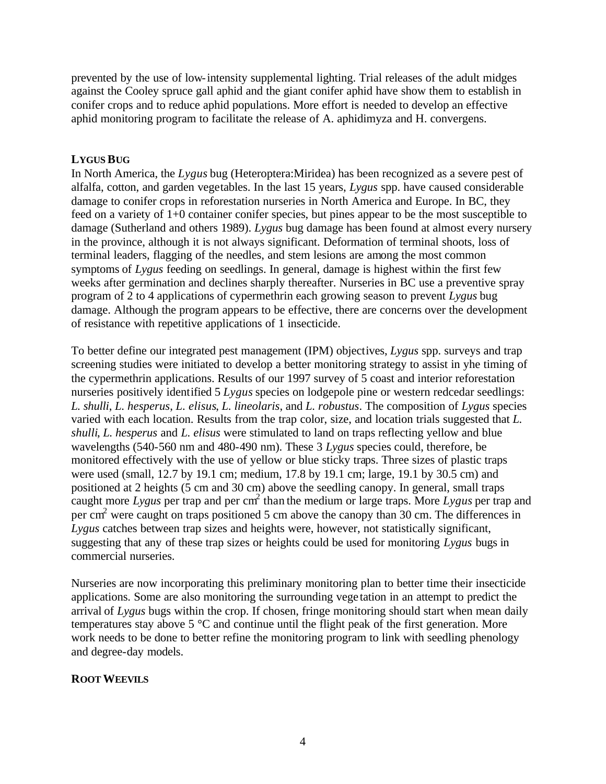prevented by the use of low-intensity supplemental lighting. Trial releases of the adult midges against the Cooley spruce gall aphid and the giant conifer aphid have show them to establish in conifer crops and to reduce aphid populations. More effort is needed to develop an effective aphid monitoring program to facilitate the release of A. aphidimyza and H. convergens.

# **LYGUS BUG**

In North America, the *Lygus* bug (Heteroptera:Miridea) has been recognized as a severe pest of alfalfa, cotton, and garden vegetables. In the last 15 years, *Lygus* spp. have caused considerable damage to conifer crops in reforestation nurseries in North America and Europe. In BC, they feed on a variety of 1+0 container conifer species, but pines appear to be the most susceptible to damage (Sutherland and others 1989). *Lygus* bug damage has been found at almost every nursery in the province, although it is not always significant. Deformation of terminal shoots, loss of terminal leaders, flagging of the needles, and stem lesions are among the most common symptoms of *Lygus* feeding on seedlings. In general, damage is highest within the first few weeks after germination and declines sharply thereafter. Nurseries in BC use a preventive spray program of 2 to 4 applications of cypermethrin each growing season to prevent *Lygus* bug damage. Although the program appears to be effective, there are concerns over the development of resistance with repetitive applications of 1 insecticide.

To better define our integrated pest management (IPM) objectives, *Lygus* spp. surveys and trap screening studies were initiated to develop a better monitoring strategy to assist in yhe timing of the cypermethrin applications. Results of our 1997 survey of 5 coast and interior reforestation nurseries positively identified 5 *Lygus* species on lodgepole pine or western redcedar seedlings: *L. shulli*, *L. hesperus*, *L. elisus*, *L. lineolaris*, and *L. robustus*. The composition of *Lygus* species varied with each location. Results from the trap color, size, and location trials suggested that *L. shulli*, *L. hesperus* and *L. elisus* were stimulated to land on traps reflecting yellow and blue wavelengths (540-560 nm and 480-490 nm). These 3 *Lygus* species could, therefore, be monitored effectively with the use of yellow or blue sticky traps. Three sizes of plastic traps were used (small, 12.7 by 19.1 cm; medium, 17.8 by 19.1 cm; large, 19.1 by 30.5 cm) and positioned at 2 heights (5 cm and 30 cm) above the seedling canopy. In general, small traps caught more *Lygus* per trap and per cm<sup>2</sup> than the medium or large traps. More *Lygus* per trap and per cm<sup>2</sup> were caught on traps positioned 5 cm above the canopy than 30 cm. The differences in *Lygus* catches between trap sizes and heights were, however, not statistically significant, suggesting that any of these trap sizes or heights could be used for monitoring *Lygus* bugs in commercial nurseries.

Nurseries are now incorporating this preliminary monitoring plan to better time their insecticide applications. Some are also monitoring the surrounding vege tation in an attempt to predict the arrival of *Lygus* bugs within the crop. If chosen, fringe monitoring should start when mean daily temperatures stay above 5 °C and continue until the flight peak of the first generation. More work needs to be done to better refine the monitoring program to link with seedling phenology and degree-day models.

# **ROOT WEEVILS**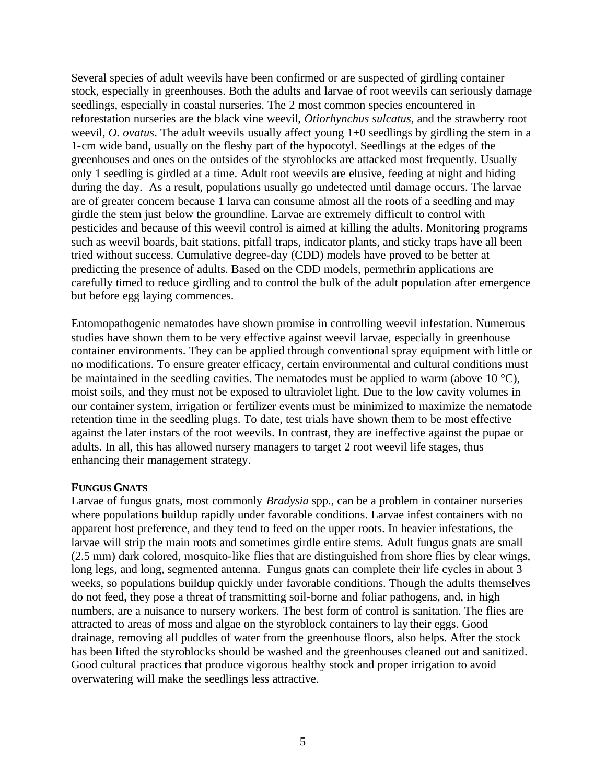Several species of adult weevils have been confirmed or are suspected of girdling container stock, especially in greenhouses. Both the adults and larvae of root weevils can seriously damage seedlings, especially in coastal nurseries. The 2 most common species encountered in reforestation nurseries are the black vine weevil, *Otiorhynchus sulcatus*, and the strawberry root weevil, *O. ovatus*. The adult weevils usually affect young 1+0 seedlings by girdling the stem in a 1-cm wide band, usually on the fleshy part of the hypocotyl. Seedlings at the edges of the greenhouses and ones on the outsides of the styroblocks are attacked most frequently. Usually only 1 seedling is girdled at a time. Adult root weevils are elusive, feeding at night and hiding during the day. As a result, populations usually go undetected until damage occurs. The larvae are of greater concern because 1 larva can consume almost all the roots of a seedling and may girdle the stem just below the groundline. Larvae are extremely difficult to control with pesticides and because of this weevil control is aimed at killing the adults. Monitoring programs such as weevil boards, bait stations, pitfall traps, indicator plants, and sticky traps have all been tried without success. Cumulative degree-day (CDD) models have proved to be better at predicting the presence of adults. Based on the CDD models, permethrin applications are carefully timed to reduce girdling and to control the bulk of the adult population after emergence but before egg laying commences.

Entomopathogenic nematodes have shown promise in controlling weevil infestation. Numerous studies have shown them to be very effective against weevil larvae, especially in greenhouse container environments. They can be applied through conventional spray equipment with little or no modifications. To ensure greater efficacy, certain environmental and cultural conditions must be maintained in the seedling cavities. The nematodes must be applied to warm (above 10  $^{\circ}$ C), moist soils, and they must not be exposed to ultraviolet light. Due to the low cavity volumes in our container system, irrigation or fertilizer events must be minimized to maximize the nematode retention time in the seedling plugs. To date, test trials have shown them to be most effective against the later instars of the root weevils. In contrast, they are ineffective against the pupae or adults. In all, this has allowed nursery managers to target 2 root weevil life stages, thus enhancing their management strategy.

# **FUNGUS GNATS**

Larvae of fungus gnats, most commonly *Bradysia* spp., can be a problem in container nurseries where populations buildup rapidly under favorable conditions. Larvae infest containers with no apparent host preference, and they tend to feed on the upper roots. In heavier infestations, the larvae will strip the main roots and sometimes girdle entire stems. Adult fungus gnats are small (2.5 mm) dark colored, mosquito-like flies that are distinguished from shore flies by clear wings, long legs, and long, segmented antenna. Fungus gnats can complete their life cycles in about 3 weeks, so populations buildup quickly under favorable conditions. Though the adults themselves do not feed, they pose a threat of transmitting soil-borne and foliar pathogens, and, in high numbers, are a nuisance to nursery workers. The best form of control is sanitation. The flies are attracted to areas of moss and algae on the styroblock containers to lay their eggs. Good drainage, removing all puddles of water from the greenhouse floors, also helps. After the stock has been lifted the styroblocks should be washed and the greenhouses cleaned out and sanitized. Good cultural practices that produce vigorous healthy stock and proper irrigation to avoid overwatering will make the seedlings less attractive.